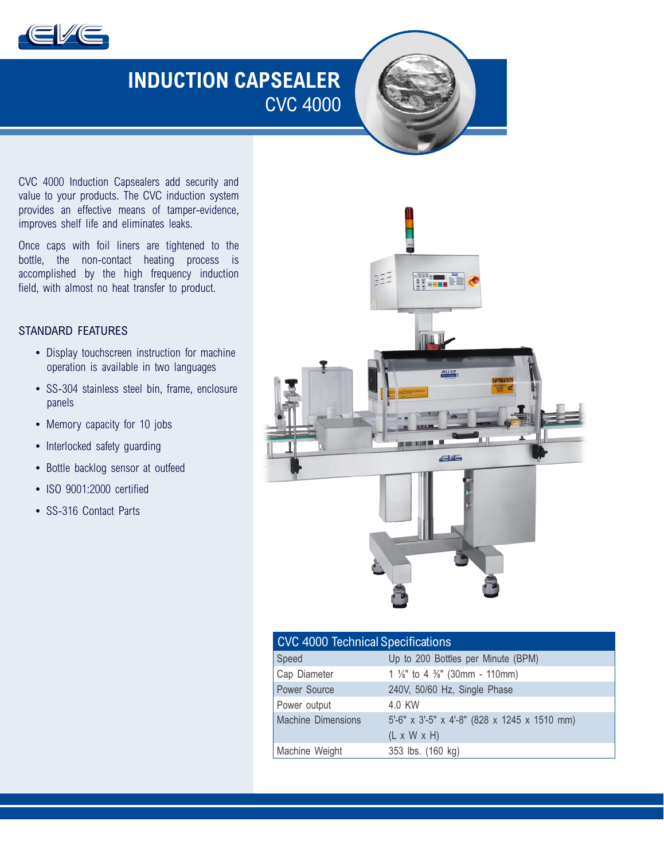

# **INDUCTION CAPSEALER** CVC 4000

CVC 4000 Induction Capsealers add security and value to your products. The CVC induction system provides an effective means of tamper-evidence, improves shelf life and eliminates leaks.

Once caps with foil liners are tightened to the bottle, the non-contact heating process is accomplished by the high frequency induction field, with almost no heat transfer to product.

### STANDARD FEATURES

- Display touchscreen instruction for machine operation is available in two languages
- SS-304 stainless steel bin, frame, enclosure panels
- Memory capacity for 10 jobs
- Interlocked safety quarding
- Bottle backlog sensor at outfeed
- ISO 9001:2000 certified
- SS-316 Contact Parts



| <b>CVC 4000 Technical Specifications</b> |                                                       |
|------------------------------------------|-------------------------------------------------------|
| Speed                                    | Up to 200 Bottles per Minute (BPM)                    |
| Cap Diameter                             | 1 $\frac{1}{8}$ " to 4 $\frac{3}{8}$ " (30mm - 110mm) |
| Power Source                             | 240V, 50/60 Hz, Single Phase                          |
| Power output                             | 4.0 KW                                                |
| <b>Machine Dimensions</b>                | 5'-6" x 3'-5" x 4'-8" (828 x 1245 x 1510 mm)          |
|                                          | $(L \times W \times H)$                               |
| Machine Weight                           | 353 lbs. (160 kg)                                     |